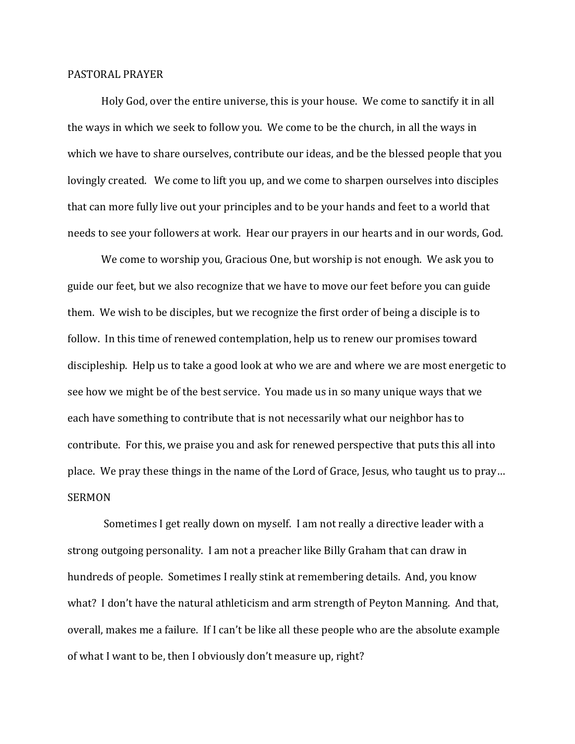## PASTORAL PRAYER

 Holy God, over the entire universe, this is your house. We come to sanctify it in all the ways in which we seek to follow you. We come to be the church, in all the ways in which we have to share ourselves, contribute our ideas, and be the blessed people that you lovingly created. We come to lift you up, and we come to sharpen ourselves into disciples that can more fully live out your principles and to be your hands and feet to a world that needs to see your followers at work. Hear our prayers in our hearts and in our words, God.

 We come to worship you, Gracious One, but worship is not enough. We ask you to guide our feet, but we also recognize that we have to move our feet before you can guide them. We wish to be disciples, but we recognize the first order of being a disciple is to follow. In this time of renewed contemplation, help us to renew our promises toward discipleship. Help us to take a good look at who we are and where we are most energetic to see how we might be of the best service. You made us in so many unique ways that we each have something to contribute that is not necessarily what our neighbor has to contribute. For this, we praise you and ask for renewed perspective that puts this all into place. We pray these things in the name of the Lord of Grace, Jesus, who taught us to pray… SERMON

 Sometimes I get really down on myself. I am not really a directive leader with a strong outgoing personality. I am not a preacher like Billy Graham that can draw in hundreds of people. Sometimes I really stink at remembering details. And, you know what? I don't have the natural athleticism and arm strength of Peyton Manning. And that, overall, makes me a failure. If I can't be like all these people who are the absolute example of what I want to be, then I obviously don't measure up, right?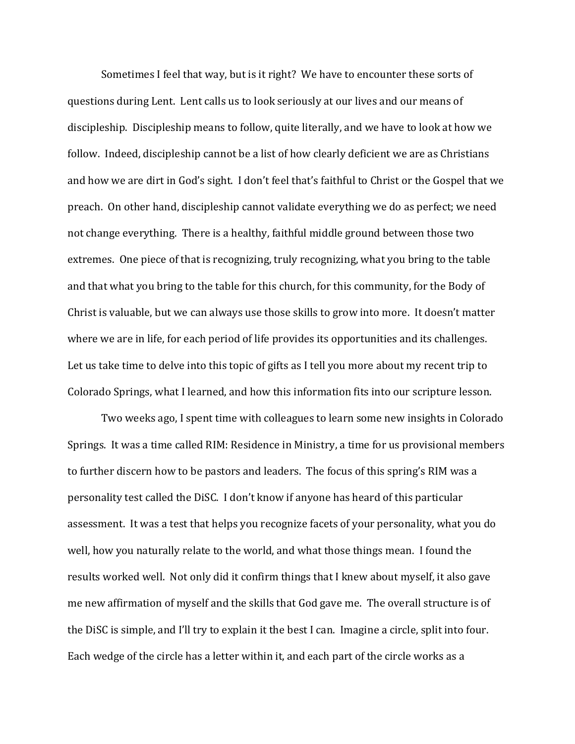Sometimes I feel that way, but is it right? We have to encounter these sorts of questions during Lent. Lent calls us to look seriously at our lives and our means of discipleship. Discipleship means to follow, quite literally, and we have to look at how we follow. Indeed, discipleship cannot be a list of how clearly deficient we are as Christians and how we are dirt in God's sight. I don't feel that's faithful to Christ or the Gospel that we preach. On other hand, discipleship cannot validate everything we do as perfect; we need not change everything. There is a healthy, faithful middle ground between those two extremes. One piece of that is recognizing, truly recognizing, what you bring to the table and that what you bring to the table for this church, for this community, for the Body of Christ is valuable, but we can always use those skills to grow into more. It doesn't matter where we are in life, for each period of life provides its opportunities and its challenges. Let us take time to delve into this topic of gifts as I tell you more about my recent trip to Colorado Springs, what I learned, and how this information fits into our scripture lesson.

 Two weeks ago, I spent time with colleagues to learn some new insights in Colorado Springs. It was a time called RIM: Residence in Ministry, a time for us provisional members to further discern how to be pastors and leaders. The focus of this spring's RIM was a personality test called the DiSC. I don't know if anyone has heard of this particular assessment. It was a test that helps you recognize facets of your personality, what you do well, how you naturally relate to the world, and what those things mean. I found the results worked well. Not only did it confirm things that I knew about myself, it also gave me new affirmation of myself and the skills that God gave me. The overall structure is of the DiSC is simple, and I'll try to explain it the best I can. Imagine a circle, split into four. Each wedge of the circle has a letter within it, and each part of the circle works as a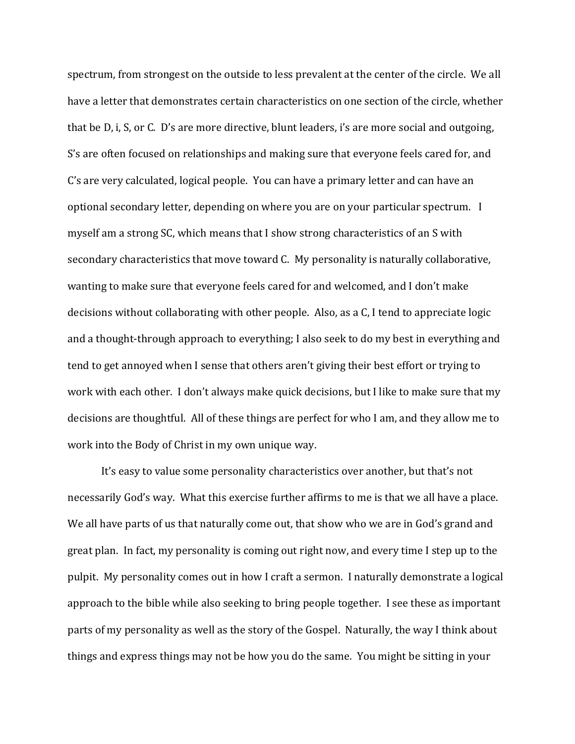spectrum, from strongest on the outside to less prevalent at the center of the circle. We all have a letter that demonstrates certain characteristics on one section of the circle, whether that be D, i, S, or C. D's are more directive, blunt leaders, i's are more social and outgoing, S's are often focused on relationships and making sure that everyone feels cared for, and C's are very calculated, logical people. You can have a primary letter and can have an optional secondary letter, depending on where you are on your particular spectrum. I myself am a strong SC, which means that I show strong characteristics of an S with secondary characteristics that move toward C. My personality is naturally collaborative, wanting to make sure that everyone feels cared for and welcomed, and I don't make decisions without collaborating with other people. Also, as a C, I tend to appreciate logic and a thought-through approach to everything; I also seek to do my best in everything and tend to get annoyed when I sense that others aren't giving their best effort or trying to work with each other. I don't always make quick decisions, but I like to make sure that my decisions are thoughtful. All of these things are perfect for who I am, and they allow me to work into the Body of Christ in my own unique way.

 It's easy to value some personality characteristics over another, but that's not necessarily God's way. What this exercise further affirms to me is that we all have a place. We all have parts of us that naturally come out, that show who we are in God's grand and great plan. In fact, my personality is coming out right now, and every time I step up to the pulpit. My personality comes out in how I craft a sermon. I naturally demonstrate a logical approach to the bible while also seeking to bring people together. I see these as important parts of my personality as well as the story of the Gospel. Naturally, the way I think about things and express things may not be how you do the same. You might be sitting in your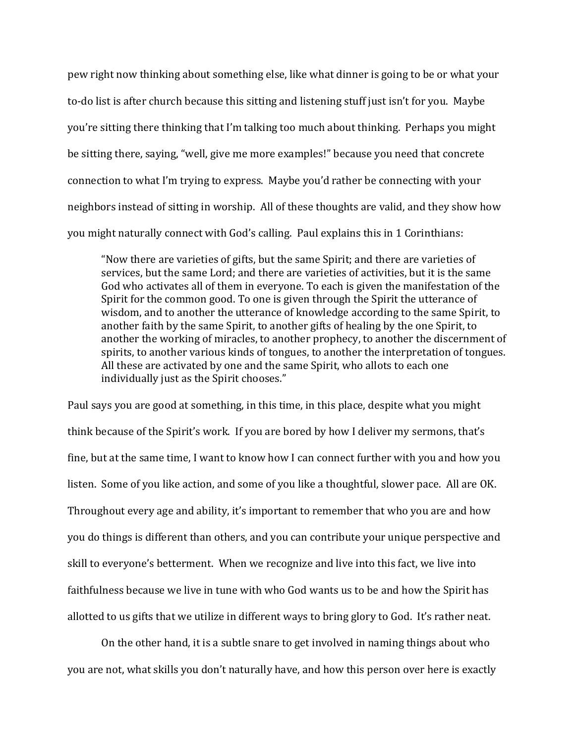pew right now thinking about something else, like what dinner is going to be or what your to-do list is after church because this sitting and listening stuff just isn't for you. Maybe you're sitting there thinking that I'm talking too much about thinking. Perhaps you might be sitting there, saying, "well, give me more examples!" because you need that concrete connection to what I'm trying to express. Maybe you'd rather be connecting with your neighbors instead of sitting in worship. All of these thoughts are valid, and they show how you might naturally connect with God's calling. Paul explains this in 1 Corinthians:

"Now there are varieties of gifts, but the same Spirit; and there are varieties of services, but the same Lord; and there are varieties of activities, but it is the same God who activates all of them in everyone. To each is given the manifestation of the Spirit for the common good. To one is given through the Spirit the utterance of wisdom, and to another the utterance of knowledge according to the same Spirit, to another faith by the same Spirit, to another gifts of healing by the one Spirit, to another the working of miracles, to another prophecy, to another the discernment of spirits, to another various kinds of tongues, to another the interpretation of tongues. All these are activated by one and the same Spirit, who allots to each one individually just as the Spirit chooses."

Paul says you are good at something, in this time, in this place, despite what you might think because of the Spirit's work. If you are bored by how I deliver my sermons, that's fine, but at the same time, I want to know how I can connect further with you and how you listen. Some of you like action, and some of you like a thoughtful, slower pace. All are OK. Throughout every age and ability, it's important to remember that who you are and how you do things is different than others, and you can contribute your unique perspective and skill to everyone's betterment. When we recognize and live into this fact, we live into faithfulness because we live in tune with who God wants us to be and how the Spirit has allotted to us gifts that we utilize in different ways to bring glory to God. It's rather neat.

 On the other hand, it is a subtle snare to get involved in naming things about who you are not, what skills you don't naturally have, and how this person over here is exactly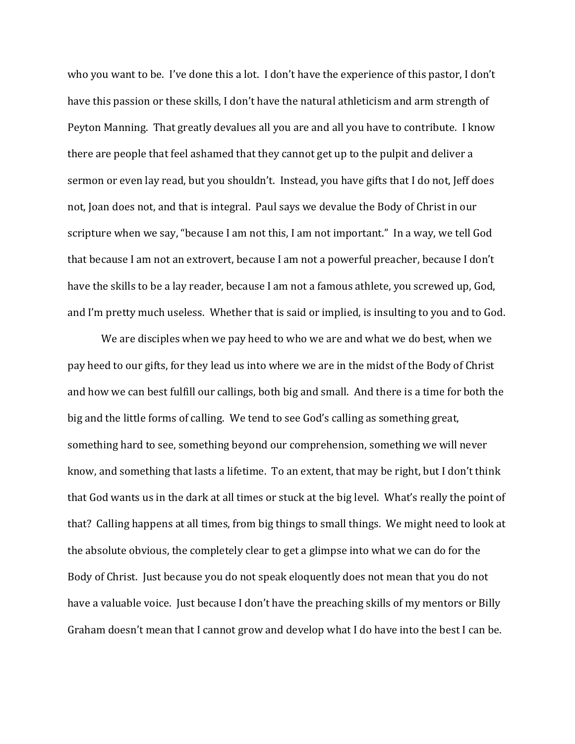who you want to be. I've done this a lot. I don't have the experience of this pastor, I don't have this passion or these skills, I don't have the natural athleticism and arm strength of Peyton Manning. That greatly devalues all you are and all you have to contribute. I know there are people that feel ashamed that they cannot get up to the pulpit and deliver a sermon or even lay read, but you shouldn't. Instead, you have gifts that I do not, Jeff does not, Joan does not, and that is integral. Paul says we devalue the Body of Christ in our scripture when we say, "because I am not this, I am not important." In a way, we tell God that because I am not an extrovert, because I am not a powerful preacher, because I don't have the skills to be a lay reader, because I am not a famous athlete, you screwed up, God, and I'm pretty much useless. Whether that is said or implied, is insulting to you and to God.

 We are disciples when we pay heed to who we are and what we do best, when we pay heed to our gifts, for they lead us into where we are in the midst of the Body of Christ and how we can best fulfill our callings, both big and small. And there is a time for both the big and the little forms of calling. We tend to see God's calling as something great, something hard to see, something beyond our comprehension, something we will never know, and something that lasts a lifetime. To an extent, that may be right, but I don't think that God wants us in the dark at all times or stuck at the big level. What's really the point of that? Calling happens at all times, from big things to small things. We might need to look at the absolute obvious, the completely clear to get a glimpse into what we can do for the Body of Christ. Just because you do not speak eloquently does not mean that you do not have a valuable voice. Just because I don't have the preaching skills of my mentors or Billy Graham doesn't mean that I cannot grow and develop what I do have into the best I can be.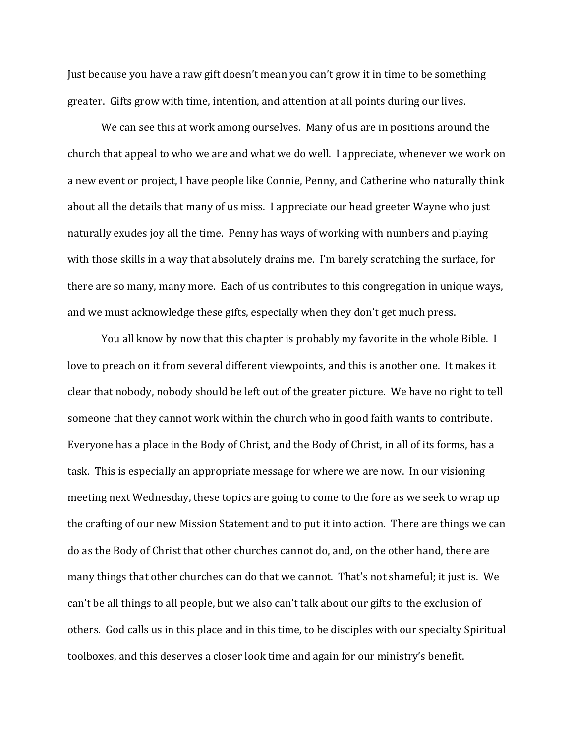Just because you have a raw gift doesn't mean you can't grow it in time to be something greater. Gifts grow with time, intention, and attention at all points during our lives.

We can see this at work among ourselves. Many of us are in positions around the church that appeal to who we are and what we do well. I appreciate, whenever we work on a new event or project, I have people like Connie, Penny, and Catherine who naturally think about all the details that many of us miss. I appreciate our head greeter Wayne who just naturally exudes joy all the time. Penny has ways of working with numbers and playing with those skills in a way that absolutely drains me. I'm barely scratching the surface, for there are so many, many more. Each of us contributes to this congregation in unique ways, and we must acknowledge these gifts, especially when they don't get much press.

 You all know by now that this chapter is probably my favorite in the whole Bible. I love to preach on it from several different viewpoints, and this is another one. It makes it clear that nobody, nobody should be left out of the greater picture. We have no right to tell someone that they cannot work within the church who in good faith wants to contribute. Everyone has a place in the Body of Christ, and the Body of Christ, in all of its forms, has a task. This is especially an appropriate message for where we are now. In our visioning meeting next Wednesday, these topics are going to come to the fore as we seek to wrap up the crafting of our new Mission Statement and to put it into action. There are things we can do as the Body of Christ that other churches cannot do, and, on the other hand, there are many things that other churches can do that we cannot. That's not shameful; it just is. We can't be all things to all people, but we also can't talk about our gifts to the exclusion of others. God calls us in this place and in this time, to be disciples with our specialty Spiritual toolboxes, and this deserves a closer look time and again for our ministry's benefit.